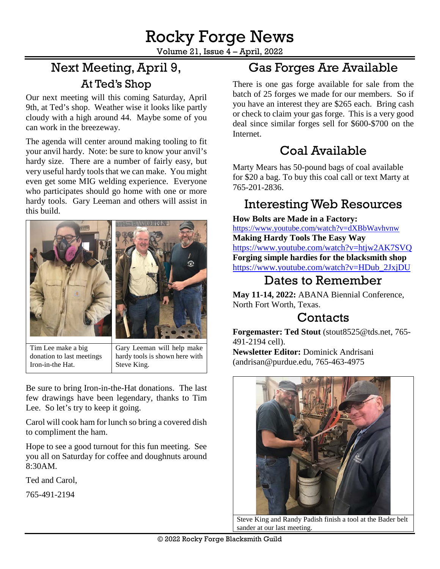Volume 21, Issue 4 – April, 2022

# Next Meeting,April 9, At Ted's Shop

Our next meeting will this coming Saturday, April 9th, at Ted's shop. Weather wise it looks like partly cloudy with a high around 44. Maybe some of you can work in the breezeway.

The agenda will center around making tooling to fit your anvil hardy. Note: be sure to know your anvil's hardy size. There are a number of fairly easy, but very useful hardy tools that we can make. You might even get some MIG welding experience. Everyone who participates should go home with one or more hardy tools. Gary Leeman and others will assist in this build.



Tim Lee make a big donation to last meetings Iron-in-the Hat.

Gary Leeman will help make hardy tools is shown here with Steve King.

Be sure to bring Iron-in-the-Hat donations. The last few drawings have been legendary, thanks to Tim Lee. So let's try to keep it going.

Carol will cook ham for lunch so bring a covered dish to compliment the ham.

Hope to see a good turnout for this fun meeting. See you all on Saturday for coffee and doughnuts around 8:30AM.

Ted and Carol,

[765-491-2194](tel:765-491-2194)

## Gas Forges Are Available

There is one gas forge available for sale from the batch of 25 forges we made for our members. So if you have an interest they are \$265 each. Bring cash or check to claim your gas forge. This is a very good deal since similar forges sell for \$600-\$700 on the Internet.

# Coal Available

Marty Mears has 50-pound bags of coal available for \$20 a bag. To buy this coal call or text Marty at 765-201-2836.

### Interesting Web Resources

**How Bolts are Made in a Factory:**

<https://www.youtube.com/watch?v=dXBbWavhvnw> **Making Hardy Tools The Easy Way** <https://www.youtube.com/watch?v=htjw2AK7SVQ> **Forging simple hardies for the blacksmith shop** [https://www.youtube.com/watch?v=HDub\\_2JxjDU](https://www.youtube.com/watch?v=HDub_2JxjDU)

#### Dates to Remember

**May 11-14, 2022:** ABANA Biennial Conference, North Fort Worth, Texas.

### **Contacts**

**Forgemaster: Ted Stout** [\(stout8525@tds.net,](mailto:stout8525@tds.net) 765- 491-2194 cell). **Newsletter Editor:** Dominick Andrisani [\(andrisan@purdue.edu,](mailto:andrisan@purdue.edu) 765-463-4975



Steve King and Randy Padish finish a tool at the Bader belt sander at our last meeting.